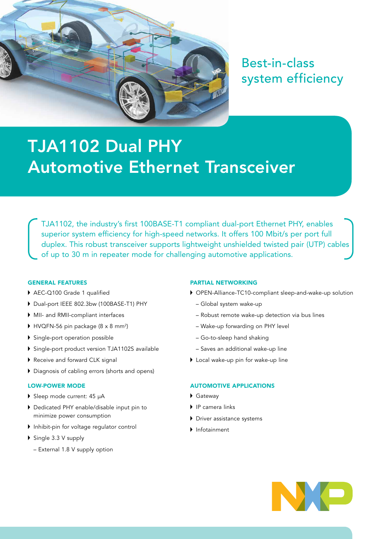

Best-in-class system efficiency

# TJA1102 Dual PHY [Automotive Ethernet Transceiver](http://www.nxp.com/products/power-management/engine-and-dc-motor-control/h-bridges:PWRHBRIDGESTEPMTR)

TJA1102, the industry's first 100BASE-T1 compliant dual-port Ethernet PHY, enables superior system efficiency for high-speed networks. It offers 100 Mbit/s per port full duplex. This robust transceiver supports lightweight unshielded twisted pair (UTP) cables of up to 30 m in repeater mode for challenging automotive applications.

## GENERAL FEATURES

- ▶ AEC-Q100 Grade 1 qualified
- Dual-port IEEE 802.3bw (100BASE-T1) PHY
- MII- and RMII-compliant interfaces
- $\blacktriangleright$  HVQFN-56 pin package (8 x 8 mm²)
- Single-port operation possible
- Single-port product version TJA1102S available
- Receive and forward CLK signal
- Diagnosis of cabling errors (shorts and opens)

#### LOW-POWER MODE

- Sleep mode current: 45 µA
- Dedicated PHY enable/disable input pin to minimize power consumption
- Inhibit-pin for voltage regulator control
- ▶ Single 3.3 V supply
	- External 1.8 V supply option

#### PARTIAL NETWORKING

- OPEN-Alliance-TC10-compliant sleep-and-wake-up solution
	- Global system wake-up
	- Robust remote wake-up detection via bus lines
	- Wake-up forwarding on PHY level
	- Go-to-sleep hand shaking
	- Saves an additional wake-up line
- Local wake-up pin for wake-up line

# AUTOMOTIVE APPLICATIONS

- Gateway
- ▶ IP camera links
- Driver assistance systems
- Infotainment